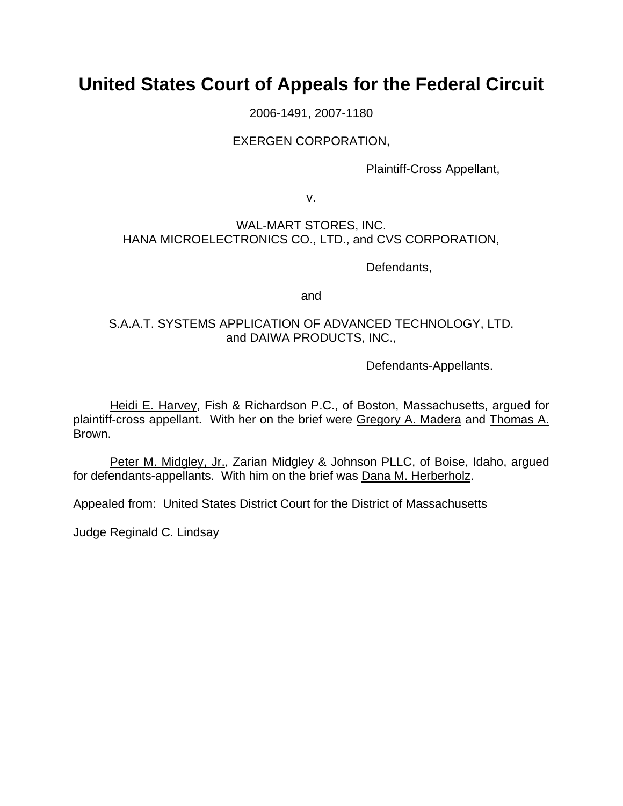# **United States Court of Appeals for the Federal Circuit**

2006-1491, 2007-1180

## EXERGEN CORPORATION,

Plaintiff-Cross Appellant,

v.

## WAL-MART STORES, INC. HANA MICROELECTRONICS CO., LTD., and CVS CORPORATION,

Defendants,

and

## S.A.A.T. SYSTEMS APPLICATION OF ADVANCED TECHNOLOGY, LTD. and DAIWA PRODUCTS, INC.,

Defendants-Appellants.

 Heidi E. Harvey, Fish & Richardson P.C., of Boston, Massachusetts, argued for plaintiff-cross appellant. With her on the brief were Gregory A. Madera and Thomas A. Brown.

Peter M. Midgley, Jr., Zarian Midgley & Johnson PLLC, of Boise, Idaho, argued for defendants-appellants. With him on the brief was Dana M. Herberholz.

Appealed from: United States District Court for the District of Massachusetts

Judge Reginald C. Lindsay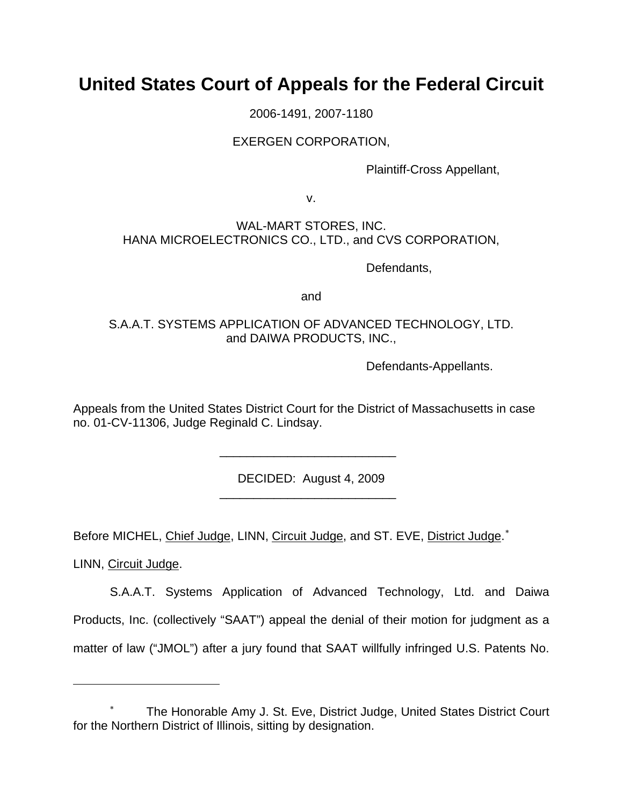# **United States Court of Appeals for the Federal Circuit**

2006-1491, 2007-1180

## EXERGEN CORPORATION,

Plaintiff-Cross Appellant,

v.

## WAL-MART STORES, INC. HANA MICROELECTRONICS CO., LTD., and CVS CORPORATION,

Defendants,

and

# S.A.A.T. SYSTEMS APPLICATION OF ADVANCED TECHNOLOGY, LTD. and DAIWA PRODUCTS, INC.,

Defendants-Appellants.

Appeals from the United States District Court for the District of Massachusetts in case no. 01-CV-11306, Judge Reginald C. Lindsay.

DECIDED: August 4, 2009

Before MICHEL, Chief Judge, LINN, Circuit Judge, and ST. EVE, District Judge.<sup>\*</sup>

\_\_\_\_\_\_\_\_\_\_\_\_\_\_\_\_\_\_\_\_\_\_\_\_\_\_

\_\_\_\_\_\_\_\_\_\_\_\_\_\_\_\_\_\_\_\_\_\_\_\_\_\_

LINN, Circuit Judge.

 $\overline{a}$ 

S.A.A.T. Systems Application of Advanced Technology, Ltd. and Daiwa Products, Inc. (collectively "SAAT") appeal the denial of their motion for judgment as a matter of law ("JMOL") after a jury found that SAAT willfully infringed U.S. Patents No.

<span id="page-1-0"></span><sup>∗</sup> The Honorable Amy J. St. Eve, District Judge, United States District Court for the Northern District of Illinois, sitting by designation.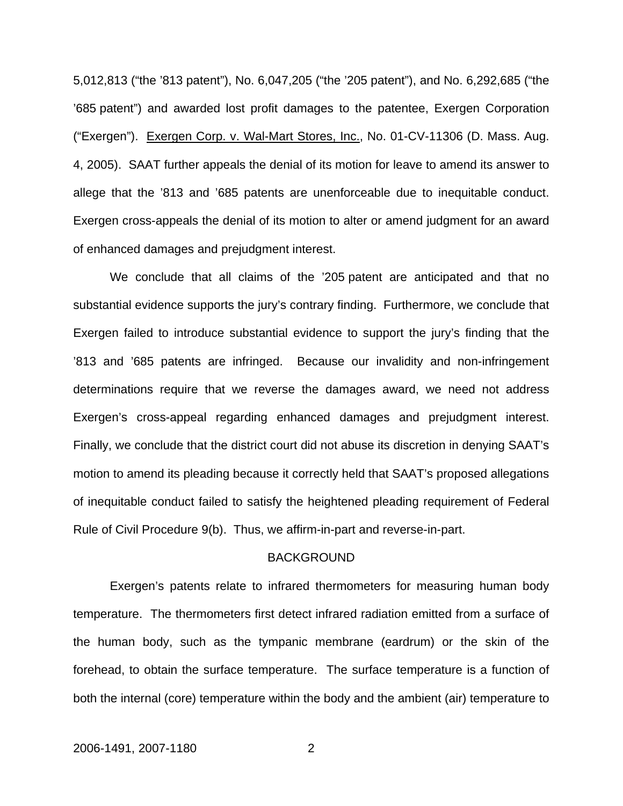5,012,813 ("the '813 patent"), No. 6,047,205 ("the '205 patent"), and No. 6,292,685 ("the '685 patent") and awarded lost profit damages to the patentee, Exergen Corporation ("Exergen"). Exergen Corp. v. Wal-Mart Stores, Inc., No. 01-CV-11306 (D. Mass. Aug. 4, 2005). SAAT further appeals the denial of its motion for leave to amend its answer to allege that the '813 and '685 patents are unenforceable due to inequitable conduct. Exergen cross-appeals the denial of its motion to alter or amend judgment for an award of enhanced damages and prejudgment interest.

We conclude that all claims of the '205 patent are anticipated and that no substantial evidence supports the jury's contrary finding. Furthermore, we conclude that Exergen failed to introduce substantial evidence to support the jury's finding that the '813 and '685 patents are infringed. Because our invalidity and non-infringement determinations require that we reverse the damages award, we need not address Exergen's cross-appeal regarding enhanced damages and prejudgment interest. Finally, we conclude that the district court did not abuse its discretion in denying SAAT's motion to amend its pleading because it correctly held that SAAT's proposed allegations of inequitable conduct failed to satisfy the heightened pleading requirement of Federal Rule of Civil Procedure 9(b). Thus, we affirm-in-part and reverse-in-part.

#### BACKGROUND

Exergen's patents relate to infrared thermometers for measuring human body temperature. The thermometers first detect infrared radiation emitted from a surface of the human body, such as the tympanic membrane (eardrum) or the skin of the forehead, to obtain the surface temperature. The surface temperature is a function of both the internal (core) temperature within the body and the ambient (air) temperature to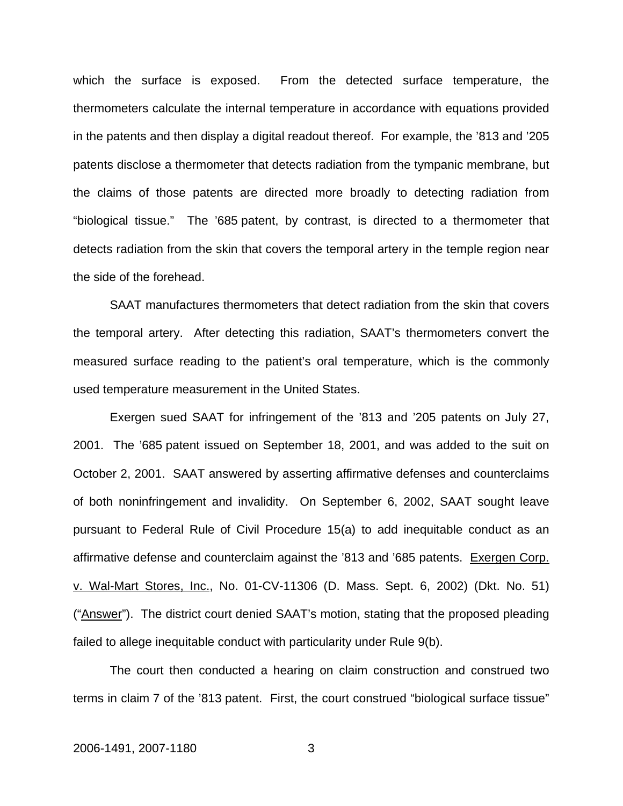which the surface is exposed. From the detected surface temperature, the thermometers calculate the internal temperature in accordance with equations provided in the patents and then display a digital readout thereof. For example, the '813 and '205 patents disclose a thermometer that detects radiation from the tympanic membrane, but the claims of those patents are directed more broadly to detecting radiation from "biological tissue." The '685 patent, by contrast, is directed to a thermometer that detects radiation from the skin that covers the temporal artery in the temple region near the side of the forehead.

SAAT manufactures thermometers that detect radiation from the skin that covers the temporal artery. After detecting this radiation, SAAT's thermometers convert the measured surface reading to the patient's oral temperature, which is the commonly used temperature measurement in the United States.

Exergen sued SAAT for infringement of the '813 and '205 patents on July 27, 2001. The '685 patent issued on September 18, 2001, and was added to the suit on October 2, 2001. SAAT answered by asserting affirmative defenses and counterclaims of both noninfringement and invalidity. On September 6, 2002, SAAT sought leave pursuant to Federal Rule of Civil Procedure 15(a) to add inequitable conduct as an affirmative defense and counterclaim against the '813 and '685 patents. Exergen Corp. v. Wal-Mart Stores, Inc., No. 01-CV-11306 (D. Mass. Sept. 6, 2002) (Dkt. No. 51) ("Answer"). The district court denied SAAT's motion, stating that the proposed pleading failed to allege inequitable conduct with particularity under Rule 9(b).

The court then conducted a hearing on claim construction and construed two terms in claim 7 of the '813 patent. First, the court construed "biological surface tissue"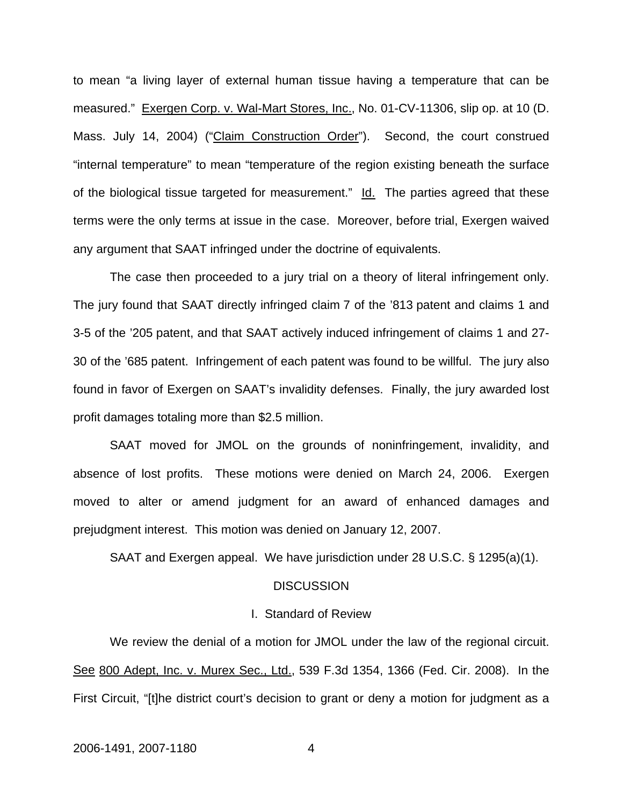to mean "a living layer of external human tissue having a temperature that can be measured." Exergen Corp. v. Wal-Mart Stores, Inc., No. 01-CV-11306, slip op. at 10 (D. Mass. July 14, 2004) ("Claim Construction Order"). Second, the court construed "internal temperature" to mean "temperature of the region existing beneath the surface of the biological tissue targeted for measurement." Id. The parties agreed that these terms were the only terms at issue in the case. Moreover, before trial, Exergen waived any argument that SAAT infringed under the doctrine of equivalents.

The case then proceeded to a jury trial on a theory of literal infringement only. The jury found that SAAT directly infringed claim 7 of the '813 patent and claims 1 and 3-5 of the '205 patent, and that SAAT actively induced infringement of claims 1 and 27- 30 of the '685 patent. Infringement of each patent was found to be willful. The jury also found in favor of Exergen on SAAT's invalidity defenses. Finally, the jury awarded lost profit damages totaling more than \$2.5 million.

SAAT moved for JMOL on the grounds of noninfringement, invalidity, and absence of lost profits. These motions were denied on March 24, 2006. Exergen moved to alter or amend judgment for an award of enhanced damages and prejudgment interest. This motion was denied on January 12, 2007.

SAAT and Exergen appeal. We have jurisdiction under 28 U.S.C. § 1295(a)(1).

## **DISCUSSION**

#### I. Standard of Review

We review the denial of a motion for JMOL under the law of the regional circuit. See 800 Adept, Inc. v. Murex Sec., Ltd., 539 F.3d 1354, 1366 (Fed. Cir. 2008). In the First Circuit, "[t]he district court's decision to grant or deny a motion for judgment as a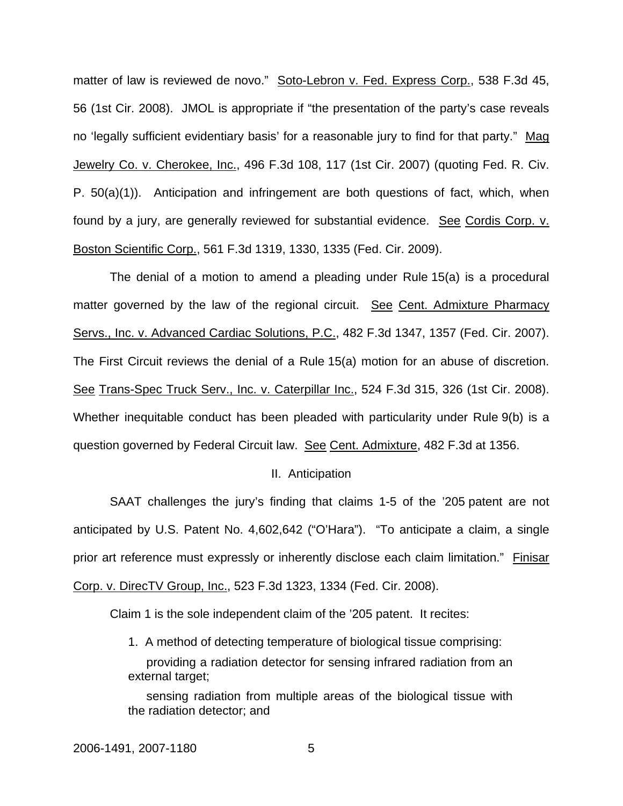matter of law is reviewed de novo." Soto-Lebron v. Fed. Express Corp., 538 F.3d 45, 56 (1st Cir. 2008). JMOL is appropriate if "the presentation of the party's case reveals no 'legally sufficient evidentiary basis' for a reasonable jury to find for that party." Mag Jewelry Co. v. Cherokee, Inc., 496 F.3d 108, 117 (1st Cir. 2007) (quoting Fed. R. Civ. P. 50(a)(1)). Anticipation and infringement are both questions of fact, which, when found by a jury, are generally reviewed for substantial evidence. See Cordis Corp. v. Boston Scientific Corp., 561 F.3d 1319, 1330, 1335 (Fed. Cir. 2009).

The denial of a motion to amend a pleading under Rule 15(a) is a procedural matter governed by the law of the regional circuit. See Cent. Admixture Pharmacy Servs., Inc. v. Advanced Cardiac Solutions, P.C., 482 F.3d 1347, 1357 (Fed. Cir. 2007). The First Circuit reviews the denial of a Rule 15(a) motion for an abuse of discretion. See Trans-Spec Truck Serv., Inc. v. Caterpillar Inc., 524 F.3d 315, 326 (1st Cir. 2008). Whether inequitable conduct has been pleaded with particularity under Rule 9(b) is a question governed by Federal Circuit law. See Cent. Admixture, 482 F.3d at 1356.

#### II. Anticipation

SAAT challenges the jury's finding that claims 1-5 of the '205 patent are not anticipated by U.S. Patent No. 4,602,642 ("O'Hara"). "To anticipate a claim, a single prior art reference must expressly or inherently disclose each claim limitation." Finisar Corp. v. DirecTV Group, Inc., 523 F.3d 1323, 1334 (Fed. Cir. 2008).

Claim 1 is the sole independent claim of the '205 patent. It recites:

1. A method of detecting temperature of biological tissue comprising: providing a radiation detector for sensing infrared radiation from an external target;

sensing radiation from multiple areas of the biological tissue with the radiation detector; and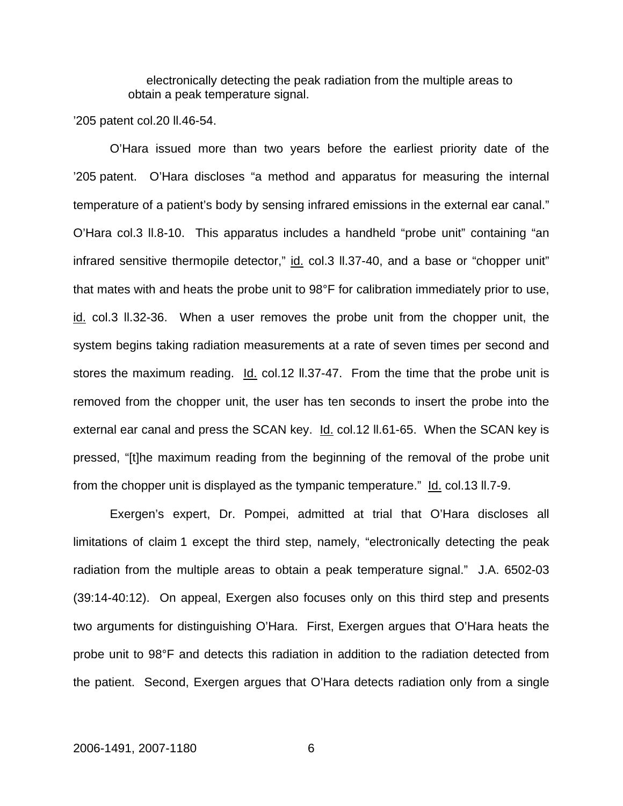electronically detecting the peak radiation from the multiple areas to obtain a peak temperature signal.

'205 patent col.20 ll.46-54.

O'Hara issued more than two years before the earliest priority date of the '205 patent. O'Hara discloses "a method and apparatus for measuring the internal temperature of a patient's body by sensing infrared emissions in the external ear canal." O'Hara col.3 ll.8-10. This apparatus includes a handheld "probe unit" containing "an infrared sensitive thermopile detector," id. col.3 II.37-40, and a base or "chopper unit" that mates with and heats the probe unit to 98°F for calibration immediately prior to use, id. col.3 ll.32-36. When a user removes the probe unit from the chopper unit, the system begins taking radiation measurements at a rate of seven times per second and stores the maximum reading.  $Id.$  col.12  $II.37-47$ . From the time that the probe unit is removed from the chopper unit, the user has ten seconds to insert the probe into the external ear canal and press the SCAN key. Id. col.12 II.61-65. When the SCAN key is pressed, "[t]he maximum reading from the beginning of the removal of the probe unit from the chopper unit is displayed as the tympanic temperature." Id. col.13 II.7-9.

Exergen's expert, Dr. Pompei, admitted at trial that O'Hara discloses all limitations of claim 1 except the third step, namely, "electronically detecting the peak radiation from the multiple areas to obtain a peak temperature signal." J.A. 6502-03 (39:14-40:12). On appeal, Exergen also focuses only on this third step and presents two arguments for distinguishing O'Hara. First, Exergen argues that O'Hara heats the probe unit to 98°F and detects this radiation in addition to the radiation detected from the patient. Second, Exergen argues that O'Hara detects radiation only from a single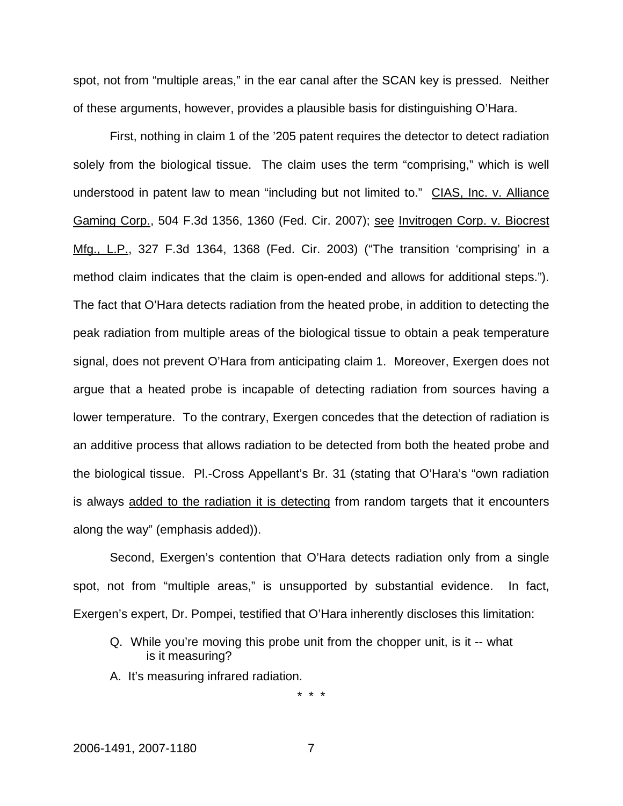spot, not from "multiple areas," in the ear canal after the SCAN key is pressed. Neither of these arguments, however, provides a plausible basis for distinguishing O'Hara.

First, nothing in claim 1 of the '205 patent requires the detector to detect radiation solely from the biological tissue. The claim uses the term "comprising," which is well understood in patent law to mean "including but not limited to." CIAS, Inc. v. Alliance Gaming Corp., 504 F.3d 1356, 1360 (Fed. Cir. 2007); see Invitrogen Corp. v. Biocrest Mfg., L.P., 327 F.3d 1364, 1368 (Fed. Cir. 2003) ("The transition 'comprising' in a method claim indicates that the claim is open-ended and allows for additional steps."). The fact that O'Hara detects radiation from the heated probe, in addition to detecting the peak radiation from multiple areas of the biological tissue to obtain a peak temperature signal, does not prevent O'Hara from anticipating claim 1. Moreover, Exergen does not argue that a heated probe is incapable of detecting radiation from sources having a lower temperature. To the contrary, Exergen concedes that the detection of radiation is an additive process that allows radiation to be detected from both the heated probe and the biological tissue. Pl.-Cross Appellant's Br. 31 (stating that O'Hara's "own radiation is always added to the radiation it is detecting from random targets that it encounters along the way" (emphasis added)).

Second, Exergen's contention that O'Hara detects radiation only from a single spot, not from "multiple areas," is unsupported by substantial evidence. In fact, Exergen's expert, Dr. Pompei, testified that O'Hara inherently discloses this limitation:

- Q. While you're moving this probe unit from the chopper unit, is it -- what is it measuring?
- A. It's measuring infrared radiation.

\* \* \*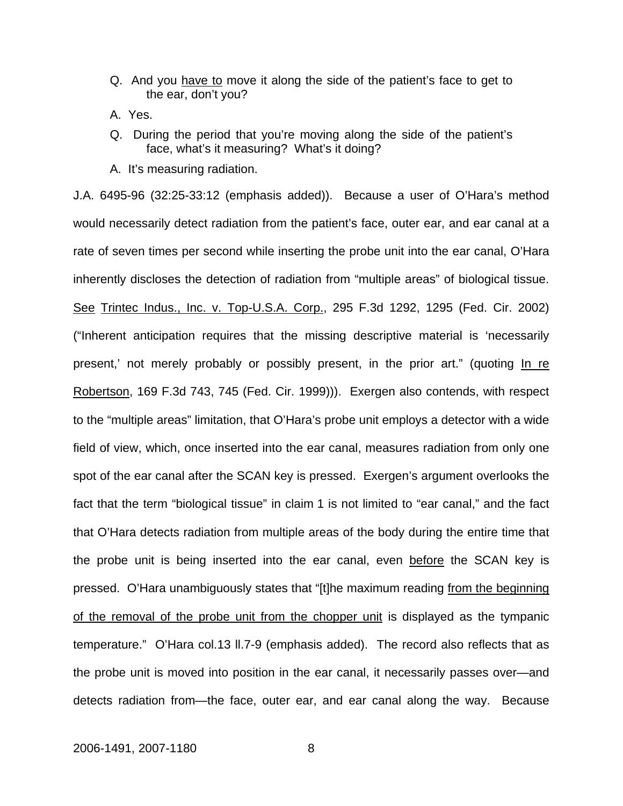- Q. And you have to move it along the side of the patient's face to get to the ear, don't you?
- A. Yes.
- Q. During the period that you're moving along the side of the patient's face, what's it measuring? What's it doing?
- A. It's measuring radiation.

J.A. 6495-96 (32:25-33:12 (emphasis added)). Because a user of O'Hara's method would necessarily detect radiation from the patient's face, outer ear, and ear canal at a rate of seven times per second while inserting the probe unit into the ear canal, O'Hara inherently discloses the detection of radiation from "multiple areas" of biological tissue. See Trintec Indus., Inc. v. Top-U.S.A. Corp., 295 F.3d 1292, 1295 (Fed. Cir. 2002) ("Inherent anticipation requires that the missing descriptive material is 'necessarily present,' not merely probably or possibly present, in the prior art." (quoting In re Robertson, 169 F.3d 743, 745 (Fed. Cir. 1999))). Exergen also contends, with respect to the "multiple areas" limitation, that O'Hara's probe unit employs a detector with a wide field of view, which, once inserted into the ear canal, measures radiation from only one spot of the ear canal after the SCAN key is pressed. Exergen's argument overlooks the fact that the term "biological tissue" in claim 1 is not limited to "ear canal," and the fact that O'Hara detects radiation from multiple areas of the body during the entire time that the probe unit is being inserted into the ear canal, even before the SCAN key is pressed. O'Hara unambiguously states that "[t]he maximum reading from the beginning of the removal of the probe unit from the chopper unit is displayed as the tympanic temperature." O'Hara col.13 ll.7-9 (emphasis added). The record also reflects that as the probe unit is moved into position in the ear canal, it necessarily passes over—and detects radiation from—the face, outer ear, and ear canal along the way. Because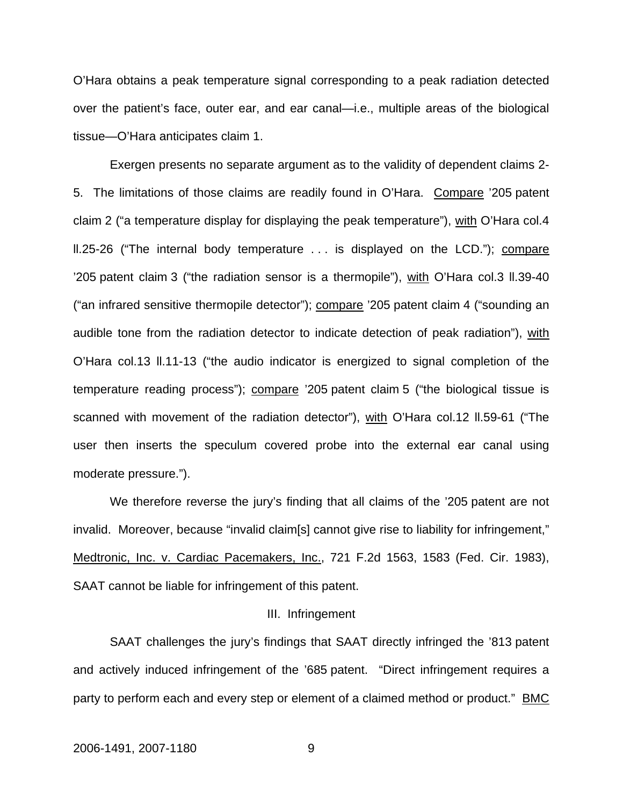O'Hara obtains a peak temperature signal corresponding to a peak radiation detected over the patient's face, outer ear, and ear canal—i.e., multiple areas of the biological tissue—O'Hara anticipates claim 1.

Exergen presents no separate argument as to the validity of dependent claims 2- 5. The limitations of those claims are readily found in O'Hara. Compare '205 patent claim 2 ("a temperature display for displaying the peak temperature"), with O'Hara col.4 ll.25-26 ("The internal body temperature . . . is displayed on the LCD."); compare '205 patent claim 3 ("the radiation sensor is a thermopile"), with O'Hara col.3 ll.39-40 ("an infrared sensitive thermopile detector"); compare '205 patent claim 4 ("sounding an audible tone from the radiation detector to indicate detection of peak radiation"), with O'Hara col.13 ll.11-13 ("the audio indicator is energized to signal completion of the temperature reading process"); compare '205 patent claim 5 ("the biological tissue is scanned with movement of the radiation detector"), with O'Hara col.12 ll.59-61 ("The user then inserts the speculum covered probe into the external ear canal using moderate pressure.").

We therefore reverse the jury's finding that all claims of the '205 patent are not invalid. Moreover, because "invalid claim[s] cannot give rise to liability for infringement," Medtronic, Inc. v. Cardiac Pacemakers, Inc., 721 F.2d 1563, 1583 (Fed. Cir. 1983), SAAT cannot be liable for infringement of this patent.

#### III. Infringement

SAAT challenges the jury's findings that SAAT directly infringed the '813 patent and actively induced infringement of the '685 patent. "Direct infringement requires a party to perform each and every step or element of a claimed method or product." BMC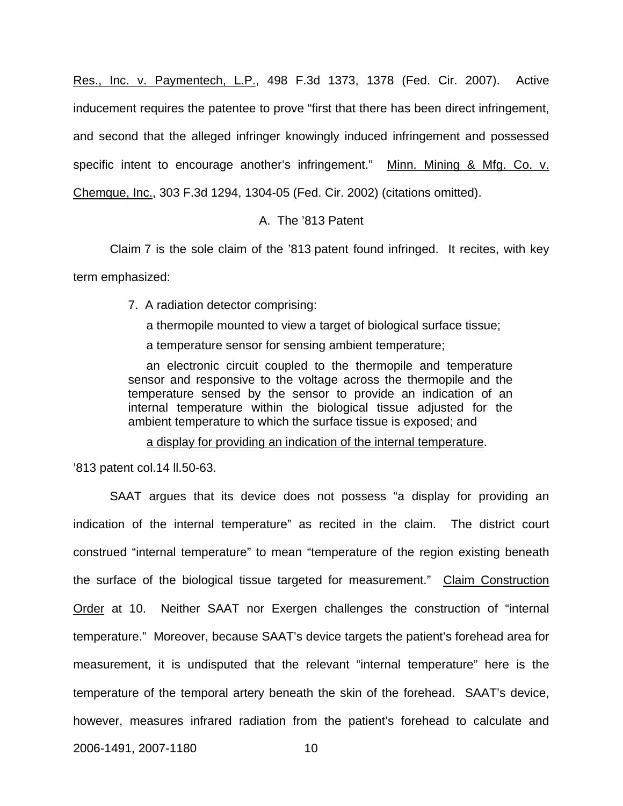Res., Inc. v. Paymentech, L.P., 498 F.3d 1373, 1378 (Fed. Cir. 2007). Active inducement requires the patentee to prove "first that there has been direct infringement, and second that the alleged infringer knowingly induced infringement and possessed specific intent to encourage another's infringement." Minn. Mining & Mfg. Co. v. Chemque, Inc., 303 F.3d 1294, 1304-05 (Fed. Cir. 2002) (citations omitted).

## A. The '813 Patent

Claim 7 is the sole claim of the '813 patent found infringed. It recites, with key term emphasized:

7. A radiation detector comprising:

a thermopile mounted to view a target of biological surface tissue;

a temperature sensor for sensing ambient temperature;

an electronic circuit coupled to the thermopile and temperature sensor and responsive to the voltage across the thermopile and the temperature sensed by the sensor to provide an indication of an internal temperature within the biological tissue adjusted for the ambient temperature to which the surface tissue is exposed; and

a display for providing an indication of the internal temperature.

'813 patent col.14 ll.50-63.

SAAT argues that its device does not possess "a display for providing an indication of the internal temperature" as recited in the claim. The district court construed "internal temperature" to mean "temperature of the region existing beneath the surface of the biological tissue targeted for measurement." Claim Construction Order at 10. Neither SAAT nor Exergen challenges the construction of "internal temperature." Moreover, because SAAT's device targets the patient's forehead area for measurement, it is undisputed that the relevant "internal temperature" here is the temperature of the temporal artery beneath the skin of the forehead. SAAT's device, however, measures infrared radiation from the patient's forehead to calculate and

2006-1491, 2007-1180 10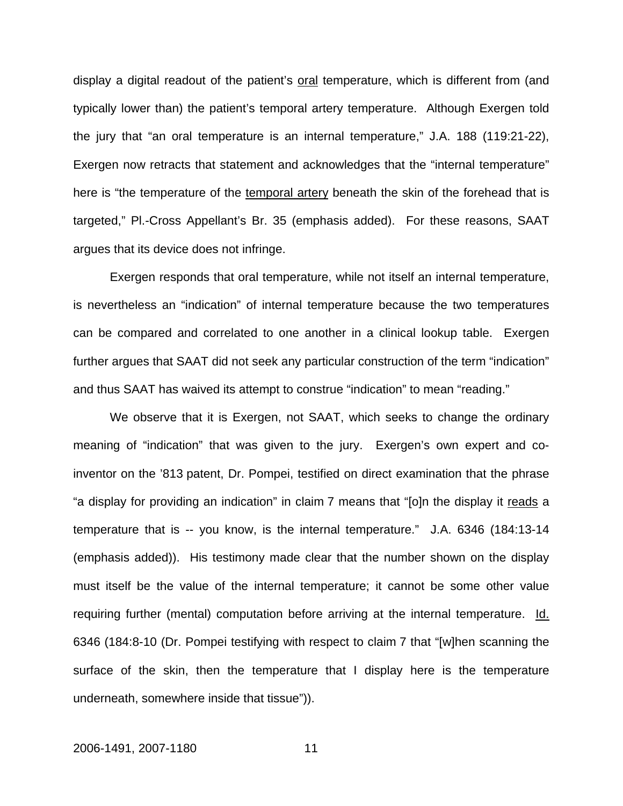display a digital readout of the patient's oral temperature, which is different from (and typically lower than) the patient's temporal artery temperature. Although Exergen told the jury that "an oral temperature is an internal temperature," J.A. 188 (119:21-22), Exergen now retracts that statement and acknowledges that the "internal temperature" here is "the temperature of the temporal artery beneath the skin of the forehead that is targeted," Pl.-Cross Appellant's Br. 35 (emphasis added). For these reasons, SAAT argues that its device does not infringe.

Exergen responds that oral temperature, while not itself an internal temperature, is nevertheless an "indication" of internal temperature because the two temperatures can be compared and correlated to one another in a clinical lookup table. Exergen further argues that SAAT did not seek any particular construction of the term "indication" and thus SAAT has waived its attempt to construe "indication" to mean "reading."

We observe that it is Exergen, not SAAT, which seeks to change the ordinary meaning of "indication" that was given to the jury. Exergen's own expert and coinventor on the '813 patent, Dr. Pompei, testified on direct examination that the phrase "a display for providing an indication" in claim 7 means that "[o]n the display it reads a temperature that is -- you know, is the internal temperature." J.A. 6346 (184:13-14 (emphasis added)). His testimony made clear that the number shown on the display must itself be the value of the internal temperature; it cannot be some other value requiring further (mental) computation before arriving at the internal temperature. Id. 6346 (184:8-10 (Dr. Pompei testifying with respect to claim 7 that "[w]hen scanning the surface of the skin, then the temperature that I display here is the temperature underneath, somewhere inside that tissue")).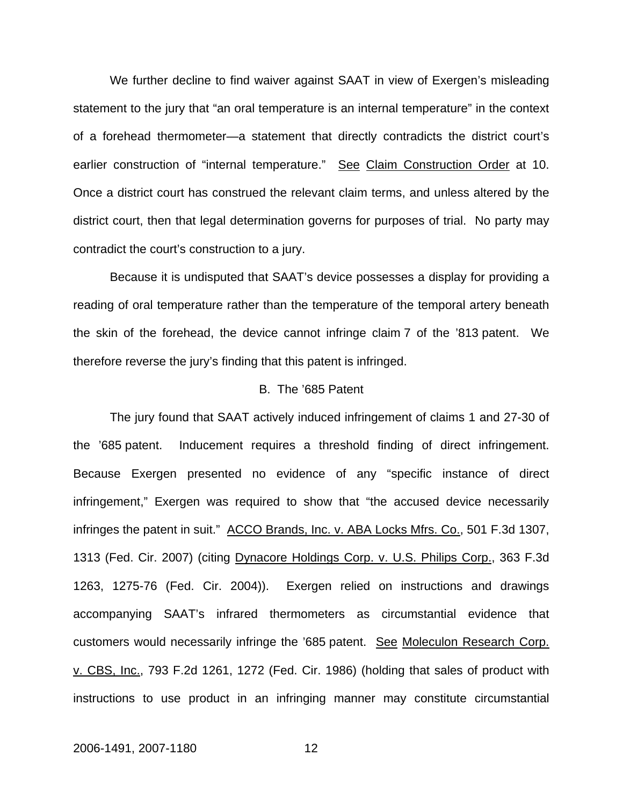We further decline to find waiver against SAAT in view of Exergen's misleading statement to the jury that "an oral temperature is an internal temperature" in the context of a forehead thermometer—a statement that directly contradicts the district court's earlier construction of "internal temperature." See Claim Construction Order at 10. Once a district court has construed the relevant claim terms, and unless altered by the district court, then that legal determination governs for purposes of trial. No party may contradict the court's construction to a jury.

Because it is undisputed that SAAT's device possesses a display for providing a reading of oral temperature rather than the temperature of the temporal artery beneath the skin of the forehead, the device cannot infringe claim 7 of the '813 patent. We therefore reverse the jury's finding that this patent is infringed.

#### B. The '685 Patent

The jury found that SAAT actively induced infringement of claims 1 and 27-30 of the '685 patent. Inducement requires a threshold finding of direct infringement. Because Exergen presented no evidence of any "specific instance of direct infringement," Exergen was required to show that "the accused device necessarily infringes the patent in suit." ACCO Brands, Inc. v. ABA Locks Mfrs. Co., 501 F.3d 1307, 1313 (Fed. Cir. 2007) (citing Dynacore Holdings Corp. v. U.S. Philips Corp., 363 F.3d 1263, 1275-76 (Fed. Cir. 2004)). Exergen relied on instructions and drawings accompanying SAAT's infrared thermometers as circumstantial evidence that customers would necessarily infringe the '685 patent. See Moleculon Research Corp. v. CBS, Inc., 793 F.2d 1261, 1272 (Fed. Cir. 1986) (holding that sales of product with instructions to use product in an infringing manner may constitute circumstantial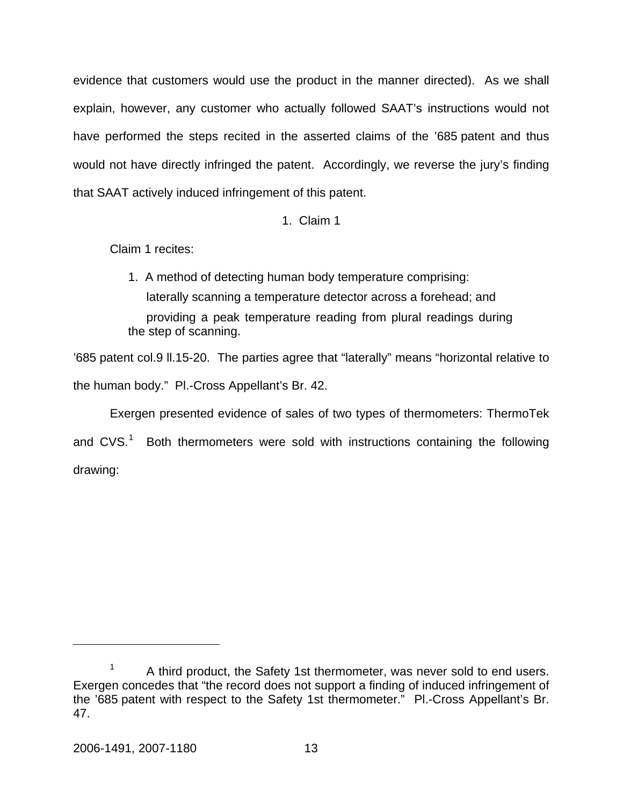evidence that customers would use the product in the manner directed). As we shall explain, however, any customer who actually followed SAAT's instructions would not have performed the steps recited in the asserted claims of the '685 patent and thus would not have directly infringed the patent. Accordingly, we reverse the jury's finding that SAAT actively induced infringement of this patent.

## 1. Claim 1

Claim 1 recites:

1. A method of detecting human body temperature comprising: laterally scanning a temperature detector across a forehead; and providing a peak temperature reading from plural readings during the step of scanning.

'685 patent col.9 ll.15-20. The parties agree that "laterally" means "horizontal relative to the human body." Pl.-Cross Appellant's Br. 42.

Exergen presented evidence of sales of two types of thermometers: ThermoTek and CVS.<sup>[1](#page-13-0)</sup> Both thermometers were sold with instructions containing the following drawing:

<span id="page-13-0"></span><sup>1</sup> A third product, the Safety 1st thermometer, was never sold to end users. Exergen concedes that "the record does not support a finding of induced infringement of the '685 patent with respect to the Safety 1st thermometer." Pl.-Cross Appellant's Br. 47.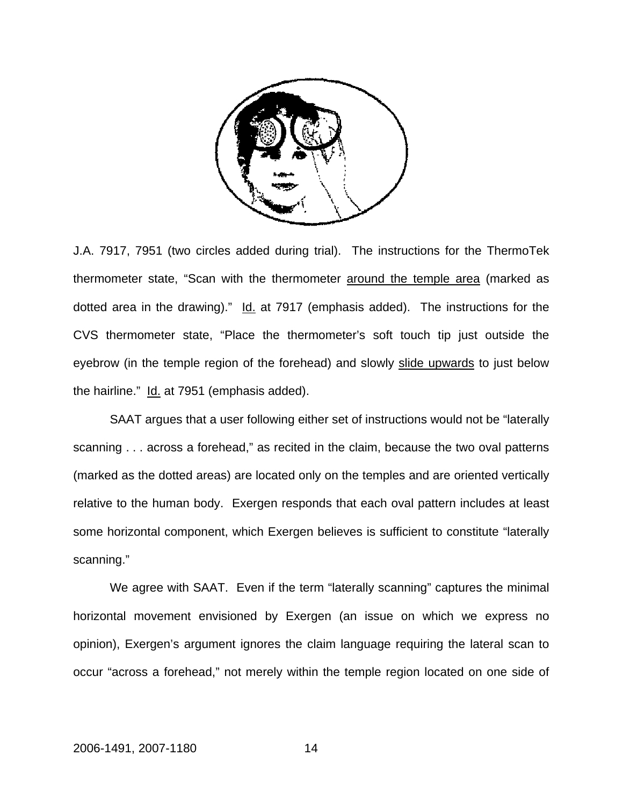

J.A. 7917, 7951 (two circles added during trial). The instructions for the ThermoTek thermometer state, "Scan with the thermometer around the temple area (marked as dotted area in the drawing)." Id. at 7917 (emphasis added). The instructions for the CVS thermometer state, "Place the thermometer's soft touch tip just outside the eyebrow (in the temple region of the forehead) and slowly slide upwards to just below the hairline." Id. at 7951 (emphasis added).

SAAT argues that a user following either set of instructions would not be "laterally scanning . . . across a forehead," as recited in the claim, because the two oval patterns (marked as the dotted areas) are located only on the temples and are oriented vertically relative to the human body. Exergen responds that each oval pattern includes at least some horizontal component, which Exergen believes is sufficient to constitute "laterally scanning."

We agree with SAAT. Even if the term "laterally scanning" captures the minimal horizontal movement envisioned by Exergen (an issue on which we express no opinion), Exergen's argument ignores the claim language requiring the lateral scan to occur "across a forehead," not merely within the temple region located on one side of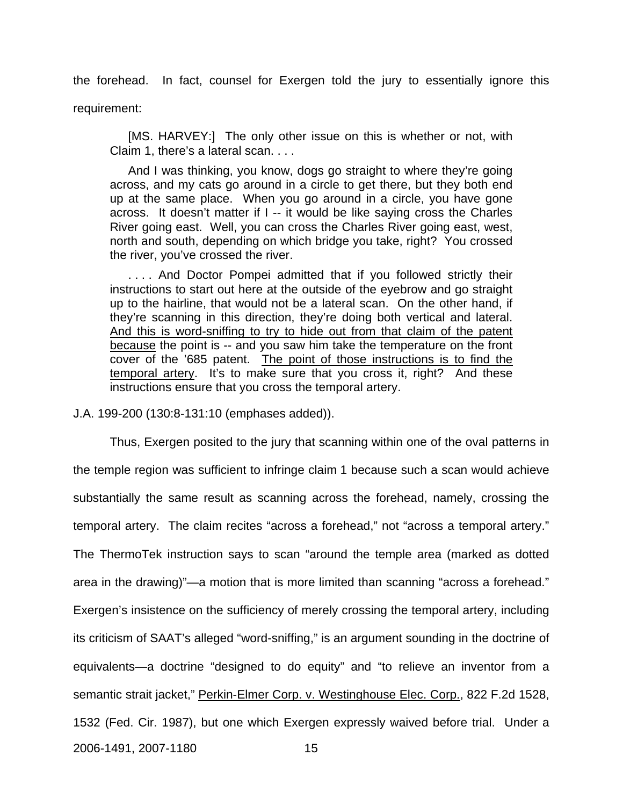the forehead. In fact, counsel for Exergen told the jury to essentially ignore this requirement:

[MS. HARVEY:] The only other issue on this is whether or not, with Claim 1, there's a lateral scan. . . .

And I was thinking, you know, dogs go straight to where they're going across, and my cats go around in a circle to get there, but they both end up at the same place. When you go around in a circle, you have gone across. It doesn't matter if I -- it would be like saying cross the Charles River going east. Well, you can cross the Charles River going east, west, north and south, depending on which bridge you take, right? You crossed the river, you've crossed the river.

.... And Doctor Pompei admitted that if you followed strictly their instructions to start out here at the outside of the eyebrow and go straight up to the hairline, that would not be a lateral scan. On the other hand, if they're scanning in this direction, they're doing both vertical and lateral. And this is word-sniffing to try to hide out from that claim of the patent because the point is -- and you saw him take the temperature on the front cover of the '685 patent. The point of those instructions is to find the temporal artery. It's to make sure that you cross it, right? And these instructions ensure that you cross the temporal artery.

J.A. 199-200 (130:8-131:10 (emphases added)).

Thus, Exergen posited to the jury that scanning within one of the oval patterns in the temple region was sufficient to infringe claim 1 because such a scan would achieve substantially the same result as scanning across the forehead, namely, crossing the temporal artery. The claim recites "across a forehead," not "across a temporal artery." The ThermoTek instruction says to scan "around the temple area (marked as dotted area in the drawing)"—a motion that is more limited than scanning "across a forehead." Exergen's insistence on the sufficiency of merely crossing the temporal artery, including its criticism of SAAT's alleged "word-sniffing," is an argument sounding in the doctrine of equivalents—a doctrine "designed to do equity" and "to relieve an inventor from a semantic strait jacket," Perkin-Elmer Corp. v. Westinghouse Elec. Corp., 822 F.2d 1528, 1532 (Fed. Cir. 1987), but one which Exergen expressly waived before trial. Under a 2006-1491, 2007-1180 15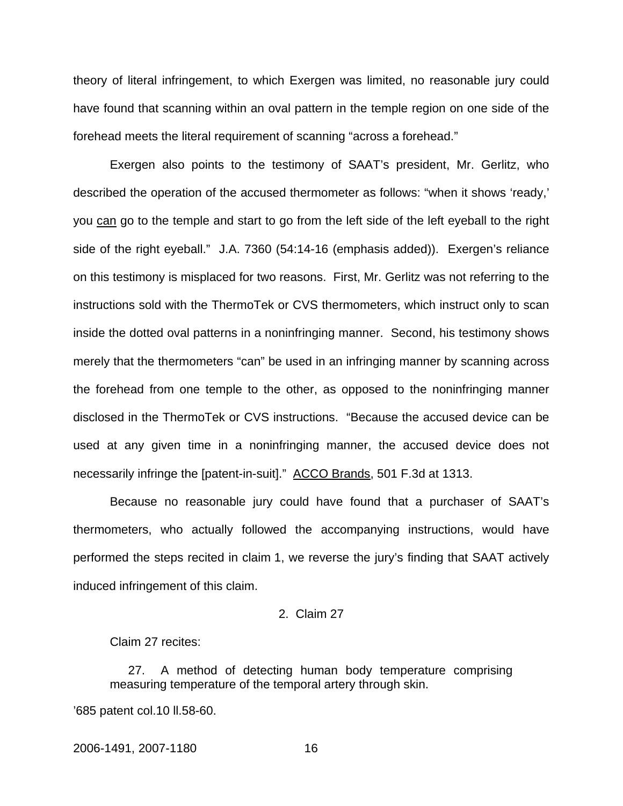theory of literal infringement, to which Exergen was limited, no reasonable jury could have found that scanning within an oval pattern in the temple region on one side of the forehead meets the literal requirement of scanning "across a forehead."

Exergen also points to the testimony of SAAT's president, Mr. Gerlitz, who described the operation of the accused thermometer as follows: "when it shows 'ready,' you can go to the temple and start to go from the left side of the left eyeball to the right side of the right eyeball." J.A. 7360 (54:14-16 (emphasis added)). Exergen's reliance on this testimony is misplaced for two reasons. First, Mr. Gerlitz was not referring to the instructions sold with the ThermoTek or CVS thermometers, which instruct only to scan inside the dotted oval patterns in a noninfringing manner. Second, his testimony shows merely that the thermometers "can" be used in an infringing manner by scanning across the forehead from one temple to the other, as opposed to the noninfringing manner disclosed in the ThermoTek or CVS instructions. "Because the accused device can be used at any given time in a noninfringing manner, the accused device does not necessarily infringe the [patent-in-suit]." ACCO Brands, 501 F.3d at 1313.

Because no reasonable jury could have found that a purchaser of SAAT's thermometers, who actually followed the accompanying instructions, would have performed the steps recited in claim 1, we reverse the jury's finding that SAAT actively induced infringement of this claim.

### 2. Claim 27

Claim 27 recites:

27. A method of detecting human body temperature comprising measuring temperature of the temporal artery through skin.

'685 patent col.10 ll.58-60.

2006-1491, 2007-1180 16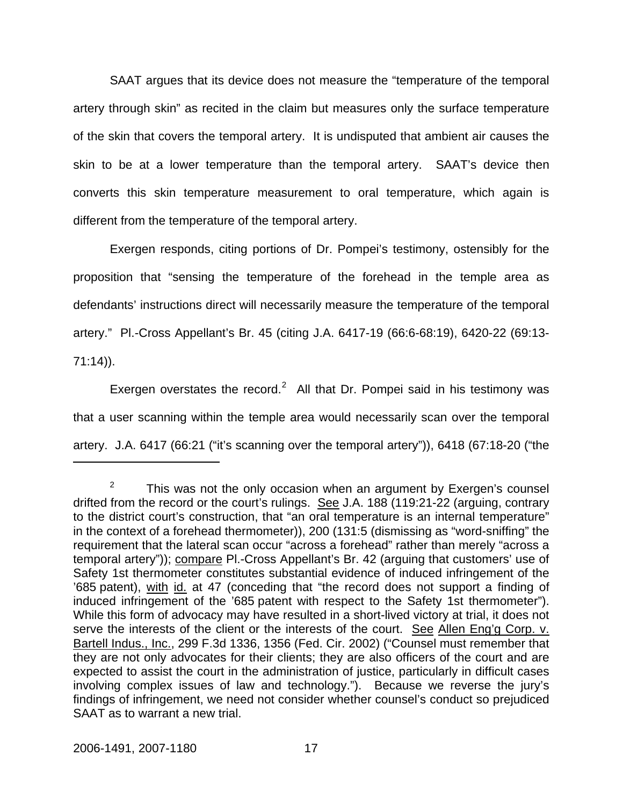SAAT argues that its device does not measure the "temperature of the temporal artery through skin" as recited in the claim but measures only the surface temperature of the skin that covers the temporal artery. It is undisputed that ambient air causes the skin to be at a lower temperature than the temporal artery. SAAT's device then converts this skin temperature measurement to oral temperature, which again is different from the temperature of the temporal artery.

Exergen responds, citing portions of Dr. Pompei's testimony, ostensibly for the proposition that "sensing the temperature of the forehead in the temple area as defendants' instructions direct will necessarily measure the temperature of the temporal artery." Pl.-Cross Appellant's Br. 45 (citing J.A. 6417-19 (66:6-68:19), 6420-22 (69:13- 71:14)).

Exergen overstates the record.<sup>[2](#page-17-0)</sup> All that Dr. Pompei said in his testimony was that a user scanning within the temple area would necessarily scan over the temporal artery. J.A. 6417 (66:21 ("it's scanning over the temporal artery")), 6418 (67:18-20 ("the

<span id="page-17-0"></span><sup>2</sup> This was not the only occasion when an argument by Exergen's counsel drifted from the record or the court's rulings. See J.A. 188 (119:21-22 (arguing, contrary to the district court's construction, that "an oral temperature is an internal temperature" in the context of a forehead thermometer)), 200 (131:5 (dismissing as "word-sniffing" the requirement that the lateral scan occur "across a forehead" rather than merely "across a temporal artery")); compare PI.-Cross Appellant's Br. 42 (arguing that customers' use of Safety 1st thermometer constitutes substantial evidence of induced infringement of the '685 patent), with id. at 47 (conceding that "the record does not support a finding of induced infringement of the '685 patent with respect to the Safety 1st thermometer"). While this form of advocacy may have resulted in a short-lived victory at trial, it does not serve the interests of the client or the interests of the court. See Allen Eng'g Corp. v. Bartell Indus., Inc., 299 F.3d 1336, 1356 (Fed. Cir. 2002) ("Counsel must remember that they are not only advocates for their clients; they are also officers of the court and are expected to assist the court in the administration of justice, particularly in difficult cases involving complex issues of law and technology."). Because we reverse the jury's findings of infringement, we need not consider whether counsel's conduct so prejudiced SAAT as to warrant a new trial.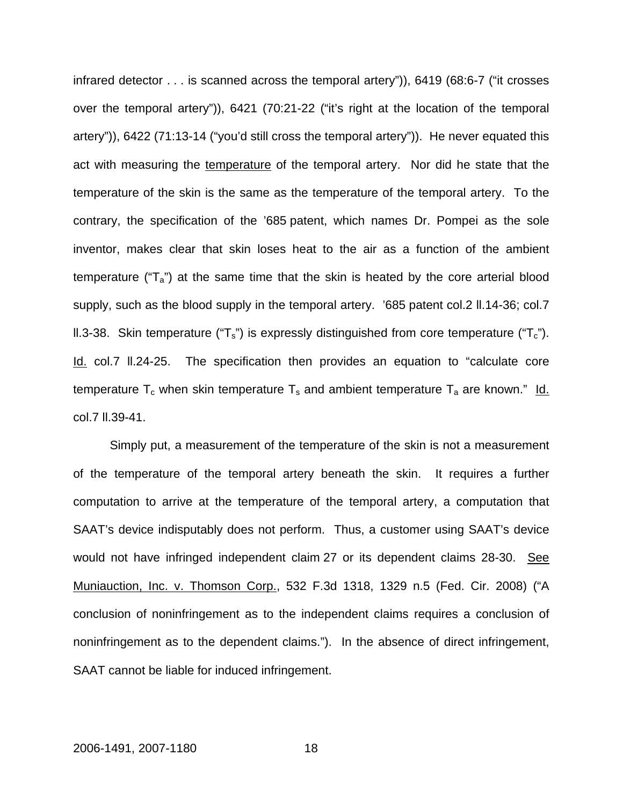infrared detector . . . is scanned across the temporal artery")), 6419 (68:6-7 ("it crosses over the temporal artery")), 6421 (70:21-22 ("it's right at the location of the temporal artery")), 6422 (71:13-14 ("you'd still cross the temporal artery")). He never equated this act with measuring the temperature of the temporal artery. Nor did he state that the temperature of the skin is the same as the temperature of the temporal artery. To the contrary, the specification of the '685 patent, which names Dr. Pompei as the sole inventor, makes clear that skin loses heat to the air as a function of the ambient temperature (" $T_a$ ") at the same time that the skin is heated by the core arterial blood supply, such as the blood supply in the temporal artery. '685 patent col.2 ll.14-36; col.7 II.3-38. Skin temperature (" $T_s$ ") is expressly distinguished from core temperature (" $T_c$ "). Id. col.7 ll.24-25. The specification then provides an equation to "calculate core temperature  $T_c$  when skin temperature  $T_s$  and ambient temperature  $T_a$  are known." Id. col.7 ll.39-41.

Simply put, a measurement of the temperature of the skin is not a measurement of the temperature of the temporal artery beneath the skin. It requires a further computation to arrive at the temperature of the temporal artery, a computation that SAAT's device indisputably does not perform. Thus, a customer using SAAT's device would not have infringed independent claim 27 or its dependent claims 28-30. See Muniauction, Inc. v. Thomson Corp., 532 F.3d 1318, 1329 n.5 (Fed. Cir. 2008) ("A conclusion of noninfringement as to the independent claims requires a conclusion of noninfringement as to the dependent claims."). In the absence of direct infringement, SAAT cannot be liable for induced infringement.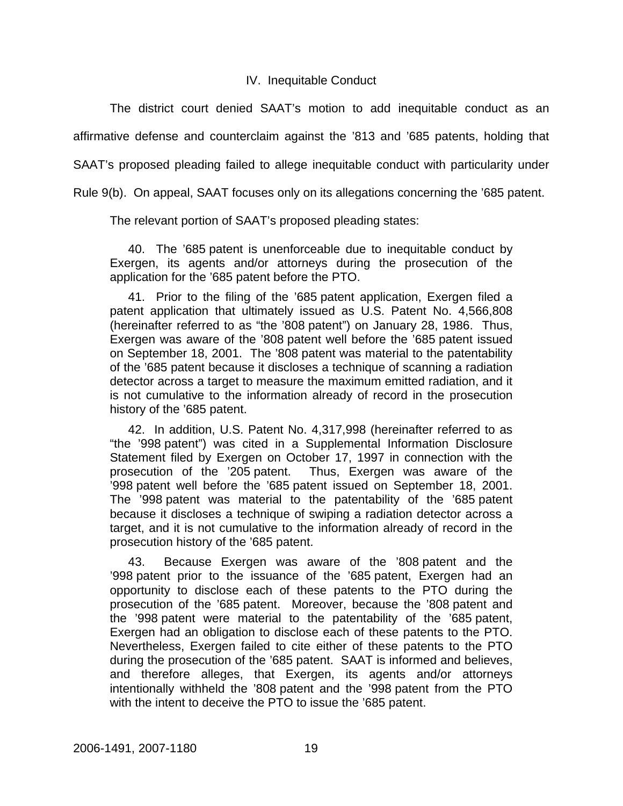## IV. Inequitable Conduct

The district court denied SAAT's motion to add inequitable conduct as an affirmative defense and counterclaim against the '813 and '685 patents, holding that

SAAT's proposed pleading failed to allege inequitable conduct with particularity under

Rule 9(b). On appeal, SAAT focuses only on its allegations concerning the '685 patent.

The relevant portion of SAAT's proposed pleading states:

40. The '685 patent is unenforceable due to inequitable conduct by Exergen, its agents and/or attorneys during the prosecution of the application for the '685 patent before the PTO.

41. Prior to the filing of the '685 patent application, Exergen filed a patent application that ultimately issued as U.S. Patent No. 4,566,808 (hereinafter referred to as "the '808 patent") on January 28, 1986. Thus, Exergen was aware of the '808 patent well before the '685 patent issued on September 18, 2001. The '808 patent was material to the patentability of the '685 patent because it discloses a technique of scanning a radiation detector across a target to measure the maximum emitted radiation, and it is not cumulative to the information already of record in the prosecution history of the '685 patent.

42. In addition, U.S. Patent No. 4,317,998 (hereinafter referred to as "the '998 patent") was cited in a Supplemental Information Disclosure Statement filed by Exergen on October 17, 1997 in connection with the prosecution of the '205 patent. Thus, Exergen was aware of the '998 patent well before the '685 patent issued on September 18, 2001. The '998 patent was material to the patentability of the '685 patent because it discloses a technique of swiping a radiation detector across a target, and it is not cumulative to the information already of record in the prosecution history of the '685 patent.

43. Because Exergen was aware of the '808 patent and the '998 patent prior to the issuance of the '685 patent, Exergen had an opportunity to disclose each of these patents to the PTO during the prosecution of the '685 patent. Moreover, because the '808 patent and the '998 patent were material to the patentability of the '685 patent, Exergen had an obligation to disclose each of these patents to the PTO. Nevertheless, Exergen failed to cite either of these patents to the PTO during the prosecution of the '685 patent. SAAT is informed and believes, and therefore alleges, that Exergen, its agents and/or attorneys intentionally withheld the '808 patent and the '998 patent from the PTO with the intent to deceive the PTO to issue the '685 patent.

2006-1491, 2007-1180 19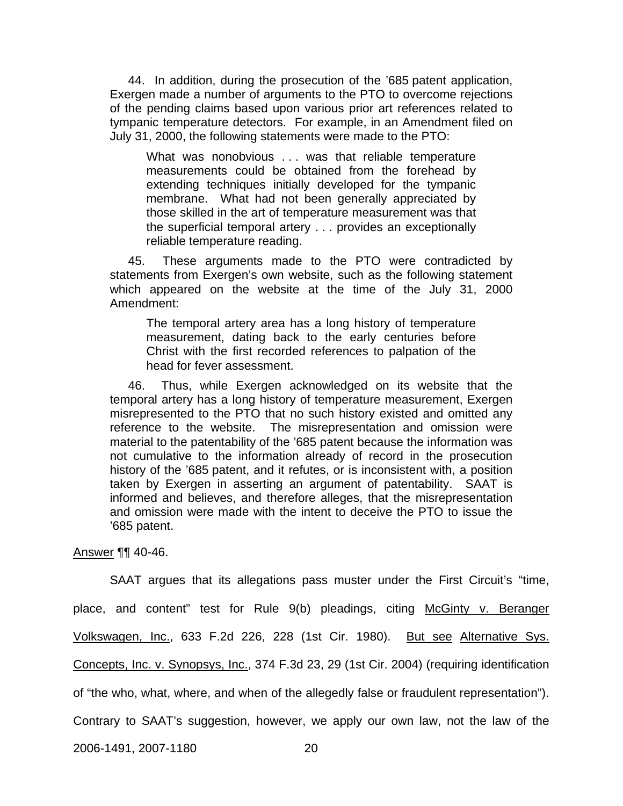44. In addition, during the prosecution of the '685 patent application, Exergen made a number of arguments to the PTO to overcome rejections of the pending claims based upon various prior art references related to tympanic temperature detectors. For example, in an Amendment filed on July 31, 2000, the following statements were made to the PTO:

What was nonobvious ... was that reliable temperature measurements could be obtained from the forehead by extending techniques initially developed for the tympanic membrane. What had not been generally appreciated by those skilled in the art of temperature measurement was that the superficial temporal artery . . . provides an exceptionally reliable temperature reading.

45. These arguments made to the PTO were contradicted by statements from Exergen's own website, such as the following statement which appeared on the website at the time of the July 31, 2000 Amendment:

The temporal artery area has a long history of temperature measurement, dating back to the early centuries before Christ with the first recorded references to palpation of the head for fever assessment.

46. Thus, while Exergen acknowledged on its website that the temporal artery has a long history of temperature measurement, Exergen misrepresented to the PTO that no such history existed and omitted any reference to the website. The misrepresentation and omission were material to the patentability of the '685 patent because the information was not cumulative to the information already of record in the prosecution history of the '685 patent, and it refutes, or is inconsistent with, a position taken by Exergen in asserting an argument of patentability. SAAT is informed and believes, and therefore alleges, that the misrepresentation and omission were made with the intent to deceive the PTO to issue the '685 patent.

#### Answer ¶¶ 40-46.

SAAT argues that its allegations pass muster under the First Circuit's "time,

place, and content" test for Rule 9(b) pleadings, citing McGinty v. Beranger

Volkswagen, Inc., 633 F.2d 226, 228 (1st Cir. 1980). But see Alternative Sys.

Concepts, Inc. v. Synopsys, Inc., 374 F.3d 23, 29 (1st Cir. 2004) (requiring identification

of "the who, what, where, and when of the allegedly false or fraudulent representation").

Contrary to SAAT's suggestion, however, we apply our own law, not the law of the

2006-1491, 2007-1180 20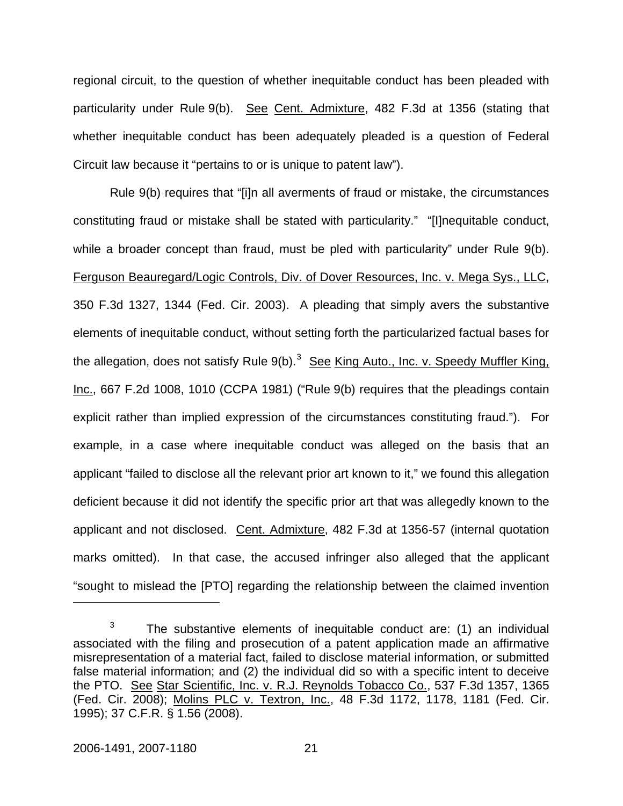regional circuit, to the question of whether inequitable conduct has been pleaded with particularity under Rule 9(b). See Cent. Admixture, 482 F.3d at 1356 (stating that whether inequitable conduct has been adequately pleaded is a question of Federal Circuit law because it "pertains to or is unique to patent law").

Rule 9(b) requires that "[i]n all averments of fraud or mistake, the circumstances constituting fraud or mistake shall be stated with particularity." "[I]nequitable conduct, while a broader concept than fraud, must be pled with particularity" under Rule 9(b). Ferguson Beauregard/Logic Controls, Div. of Dover Resources, Inc. v. Mega Sys., LLC, 350 F.3d 1327, 1344 (Fed. Cir. 2003). A pleading that simply avers the substantive elements of inequitable conduct, without setting forth the particularized factual bases for the allegation, does not satisfy Rule 9(b).<sup>[3](#page-21-0)</sup> See King Auto., Inc. v. Speedy Muffler King, Inc., 667 F.2d 1008, 1010 (CCPA 1981) ("Rule 9(b) requires that the pleadings contain explicit rather than implied expression of the circumstances constituting fraud."). For example, in a case where inequitable conduct was alleged on the basis that an applicant "failed to disclose all the relevant prior art known to it," we found this allegation deficient because it did not identify the specific prior art that was allegedly known to the applicant and not disclosed. Cent. Admixture, 482 F.3d at 1356-57 (internal quotation marks omitted). In that case, the accused infringer also alleged that the applicant "sought to mislead the [PTO] regarding the relationship between the claimed invention

<span id="page-21-0"></span><sup>3</sup> The substantive elements of inequitable conduct are: (1) an individual associated with the filing and prosecution of a patent application made an affirmative misrepresentation of a material fact, failed to disclose material information, or submitted false material information; and (2) the individual did so with a specific intent to deceive the PTO. See Star Scientific, Inc. v. R.J. Reynolds Tobacco Co., 537 F.3d 1357, 1365 (Fed. Cir. 2008); Molins PLC v. Textron, Inc., 48 F.3d 1172, 1178, 1181 (Fed. Cir. 1995); 37 C.F.R. § 1.56 (2008).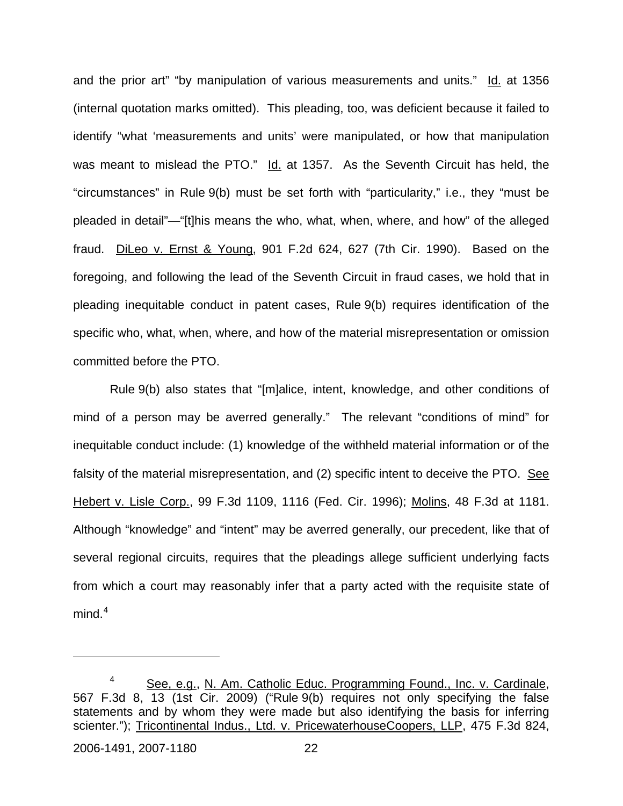and the prior art" "by manipulation of various measurements and units." Id. at 1356 (internal quotation marks omitted). This pleading, too, was deficient because it failed to identify "what 'measurements and units' were manipulated, or how that manipulation was meant to mislead the PTO." Id. at 1357. As the Seventh Circuit has held, the "circumstances" in Rule 9(b) must be set forth with "particularity," i.e., they "must be pleaded in detail"—"[t]his means the who, what, when, where, and how" of the alleged fraud. DiLeo v. Ernst & Young, 901 F.2d 624, 627 (7th Cir. 1990). Based on the foregoing, and following the lead of the Seventh Circuit in fraud cases, we hold that in pleading inequitable conduct in patent cases, Rule 9(b) requires identification of the specific who, what, when, where, and how of the material misrepresentation or omission committed before the PTO.

Rule 9(b) also states that "[m]alice, intent, knowledge, and other conditions of mind of a person may be averred generally." The relevant "conditions of mind" for inequitable conduct include: (1) knowledge of the withheld material information or of the falsity of the material misrepresentation, and (2) specific intent to deceive the PTO. See Hebert v. Lisle Corp., 99 F.3d 1109, 1116 (Fed. Cir. 1996); Molins, 48 F.3d at 1181. Although "knowledge" and "intent" may be averred generally, our precedent, like that of several regional circuits, requires that the pleadings allege sufficient underlying facts from which a court may reasonably infer that a party acted with the requisite state of mind. $^4\,$  $^4\,$  $^4\,$ 

<span id="page-22-0"></span><sup>4</sup> See, e.g., N. Am. Catholic Educ. Programming Found., Inc. v. Cardinale, 567 F.3d 8, 13 (1st Cir. 2009) ("Rule 9(b) requires not only specifying the false statements and by whom they were made but also identifying the basis for inferring scienter."); Tricontinental Indus., Ltd. v. PricewaterhouseCoopers, LLP, 475 F.3d 824,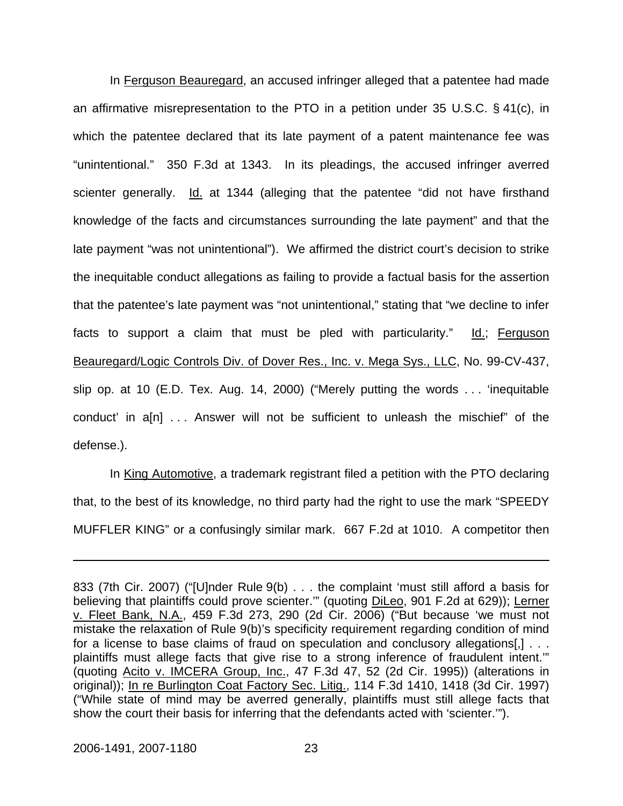In Ferguson Beauregard, an accused infringer alleged that a patentee had made an affirmative misrepresentation to the PTO in a petition under 35 U.S.C. § 41(c), in which the patentee declared that its late payment of a patent maintenance fee was "unintentional." 350 F.3d at 1343. In its pleadings, the accused infringer averred scienter generally. Id. at 1344 (alleging that the patentee "did not have firsthand knowledge of the facts and circumstances surrounding the late payment" and that the late payment "was not unintentional"). We affirmed the district court's decision to strike the inequitable conduct allegations as failing to provide a factual basis for the assertion that the patentee's late payment was "not unintentional," stating that "we decline to infer facts to support a claim that must be pled with particularity." Id.; Ferguson Beauregard/Logic Controls Div. of Dover Res., Inc. v. Mega Sys., LLC, No. 99-CV-437, slip op. at 10 (E.D. Tex. Aug. 14, 2000) ("Merely putting the words . . . 'inequitable conduct' in a[n] . . . Answer will not be sufficient to unleash the mischief" of the defense.).

In King Automotive, a trademark registrant filed a petition with the PTO declaring that, to the best of its knowledge, no third party had the right to use the mark "SPEEDY MUFFLER KING" or a confusingly similar mark. 667 F.2d at 1010. A competitor then

<sup>833 (7</sup>th Cir. 2007) ("[U]nder Rule 9(b) . . . the complaint 'must still afford a basis for believing that plaintiffs could prove scienter."" (quoting DiLeo, 901 F.2d at 629)); Lerner v. Fleet Bank, N.A., 459 F.3d 273, 290 (2d Cir. 2006) ("But because 'we must not mistake the relaxation of Rule 9(b)'s specificity requirement regarding condition of mind for a license to base claims of fraud on speculation and conclusory allegations[,] . . . plaintiffs must allege facts that give rise to a strong inference of fraudulent intent.'" (quoting Acito v. IMCERA Group, Inc., 47 F.3d 47, 52 (2d Cir. 1995)) (alterations in original)); In re Burlington Coat Factory Sec. Litig., 114 F.3d 1410, 1418 (3d Cir. 1997) ("While state of mind may be averred generally, plaintiffs must still allege facts that show the court their basis for inferring that the defendants acted with 'scienter.'").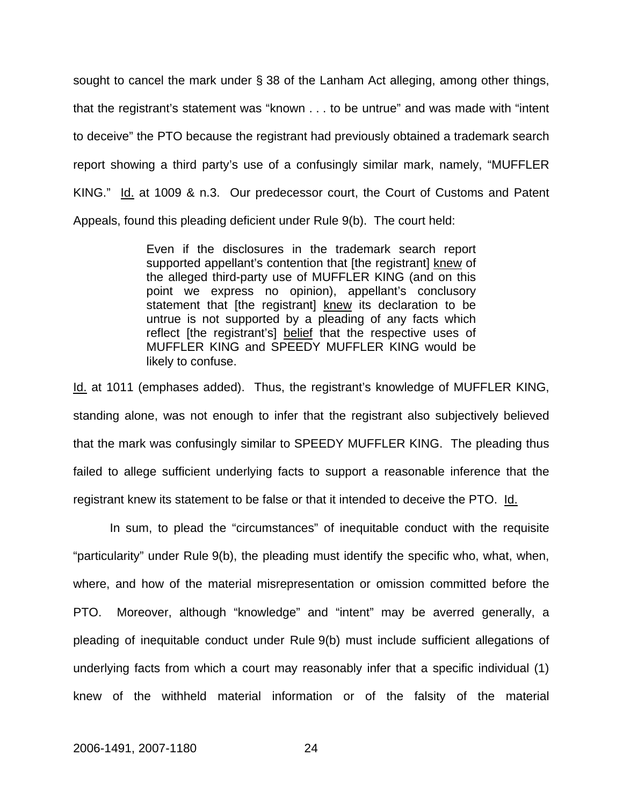sought to cancel the mark under § 38 of the Lanham Act alleging, among other things, that the registrant's statement was "known . . . to be untrue" and was made with "intent to deceive" the PTO because the registrant had previously obtained a trademark search report showing a third party's use of a confusingly similar mark, namely, "MUFFLER KING." Id. at 1009 & n.3. Our predecessor court, the Court of Customs and Patent Appeals, found this pleading deficient under Rule 9(b). The court held:

> Even if the disclosures in the trademark search report supported appellant's contention that [the registrant] knew of the alleged third-party use of MUFFLER KING (and on this point we express no opinion), appellant's conclusory statement that [the registrant] knew its declaration to be untrue is not supported by a pleading of any facts which reflect [the registrant's] belief that the respective uses of MUFFLER KING and SPEEDY MUFFLER KING would be likely to confuse.

Id. at 1011 (emphases added). Thus, the registrant's knowledge of MUFFLER KING, standing alone, was not enough to infer that the registrant also subjectively believed that the mark was confusingly similar to SPEEDY MUFFLER KING. The pleading thus failed to allege sufficient underlying facts to support a reasonable inference that the registrant knew its statement to be false or that it intended to deceive the PTO. Id.

In sum, to plead the "circumstances" of inequitable conduct with the requisite "particularity" under Rule 9(b), the pleading must identify the specific who, what, when, where, and how of the material misrepresentation or omission committed before the PTO. Moreover, although "knowledge" and "intent" may be averred generally, a pleading of inequitable conduct under Rule 9(b) must include sufficient allegations of underlying facts from which a court may reasonably infer that a specific individual (1) knew of the withheld material information or of the falsity of the material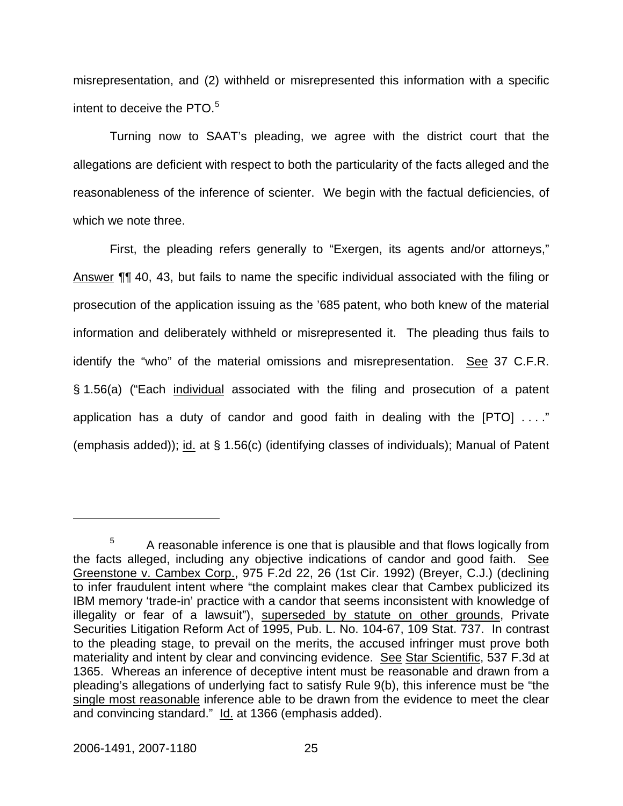misrepresentation, and (2) withheld or misrepresented this information with a specific intent to deceive the PTO.<sup>[5](#page-25-0)</sup>

Turning now to SAAT's pleading, we agree with the district court that the allegations are deficient with respect to both the particularity of the facts alleged and the reasonableness of the inference of scienter. We begin with the factual deficiencies, of which we note three.

First, the pleading refers generally to "Exergen, its agents and/or attorneys," Answer ¶¶ 40, 43, but fails to name the specific individual associated with the filing or prosecution of the application issuing as the '685 patent, who both knew of the material information and deliberately withheld or misrepresented it. The pleading thus fails to identify the "who" of the material omissions and misrepresentation. See 37 C.F.R. § 1.56(a) ("Each individual associated with the filing and prosecution of a patent application has a duty of candor and good faith in dealing with the  $[PTO] \ldots$ ." (emphasis added)); id. at § 1.56(c) (identifying classes of individuals); Manual of Patent

<span id="page-25-0"></span><sup>5</sup> A reasonable inference is one that is plausible and that flows logically from the facts alleged, including any objective indications of candor and good faith. See Greenstone v. Cambex Corp., 975 F.2d 22, 26 (1st Cir. 1992) (Breyer, C.J.) (declining to infer fraudulent intent where "the complaint makes clear that Cambex publicized its IBM memory 'trade-in' practice with a candor that seems inconsistent with knowledge of illegality or fear of a lawsuit"), superseded by statute on other grounds, Private Securities Litigation Reform Act of 1995, Pub. L. No. 104-67, 109 Stat. 737. In contrast to the pleading stage, to prevail on the merits, the accused infringer must prove both materiality and intent by clear and convincing evidence. See Star Scientific, 537 F.3d at 1365. Whereas an inference of deceptive intent must be reasonable and drawn from a pleading's allegations of underlying fact to satisfy Rule 9(b), this inference must be "the single most reasonable inference able to be drawn from the evidence to meet the clear and convincing standard." Id. at 1366 (emphasis added).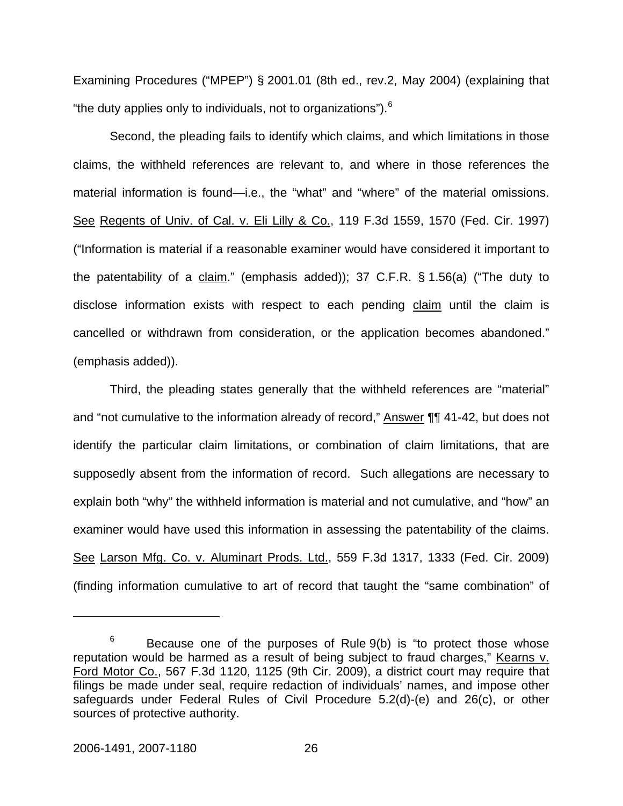Examining Procedures ("MPEP") § 2001.01 (8th ed., rev.2, May 2004) (explaining that "the duty applies only to individuals, not to organizations").  $6$ 

Second, the pleading fails to identify which claims, and which limitations in those claims, the withheld references are relevant to, and where in those references the material information is found—i.e., the "what" and "where" of the material omissions. See Regents of Univ. of Cal. v. Eli Lilly & Co., 119 F.3d 1559, 1570 (Fed. Cir. 1997) ("Information is material if a reasonable examiner would have considered it important to the patentability of a claim." (emphasis added)); 37 C.F.R. § 1.56(a) ("The duty to disclose information exists with respect to each pending claim until the claim is cancelled or withdrawn from consideration, or the application becomes abandoned." (emphasis added)).

Third, the pleading states generally that the withheld references are "material" and "not cumulative to the information already of record," Answer ¶¶ 41-42, but does not identify the particular claim limitations, or combination of claim limitations, that are supposedly absent from the information of record. Such allegations are necessary to explain both "why" the withheld information is material and not cumulative, and "how" an examiner would have used this information in assessing the patentability of the claims. See Larson Mfg. Co. v. Aluminart Prods. Ltd., 559 F.3d 1317, 1333 (Fed. Cir. 2009) (finding information cumulative to art of record that taught the "same combination" of

<span id="page-26-0"></span><sup>6</sup> Because one of the purposes of Rule 9(b) is "to protect those whose reputation would be harmed as a result of being subject to fraud charges," Kearns v. Ford Motor Co., 567 F.3d 1120, 1125 (9th Cir. 2009), a district court may require that filings be made under seal, require redaction of individuals' names, and impose other safeguards under Federal Rules of Civil Procedure 5.2(d)-(e) and 26(c), or other sources of protective authority.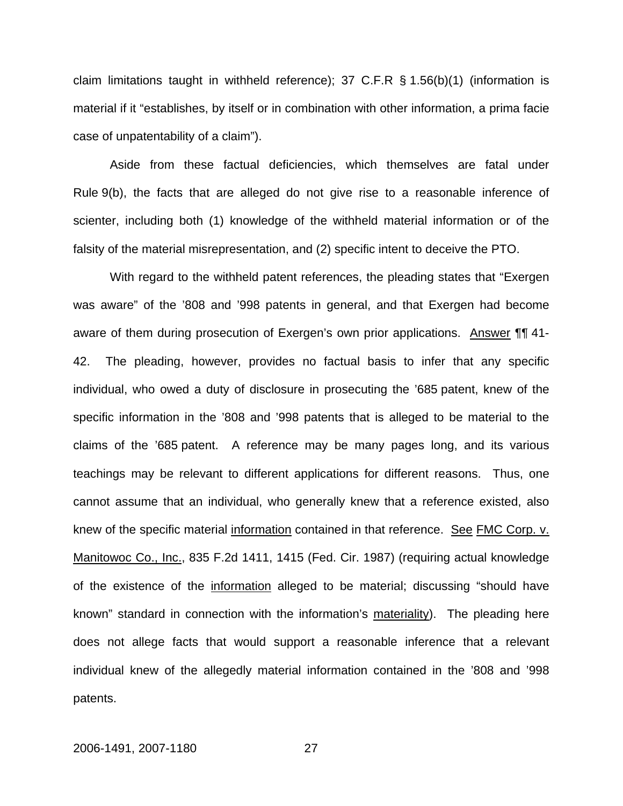claim limitations taught in withheld reference); 37 C.F.R § 1.56(b)(1) (information is material if it "establishes, by itself or in combination with other information, a prima facie case of unpatentability of a claim").

Aside from these factual deficiencies, which themselves are fatal under Rule 9(b), the facts that are alleged do not give rise to a reasonable inference of scienter, including both (1) knowledge of the withheld material information or of the falsity of the material misrepresentation, and (2) specific intent to deceive the PTO.

With regard to the withheld patent references, the pleading states that "Exergen was aware" of the '808 and '998 patents in general, and that Exergen had become aware of them during prosecution of Exergen's own prior applications. Answer ¶¶ 41- 42. The pleading, however, provides no factual basis to infer that any specific individual, who owed a duty of disclosure in prosecuting the '685 patent, knew of the specific information in the '808 and '998 patents that is alleged to be material to the claims of the '685 patent. A reference may be many pages long, and its various teachings may be relevant to different applications for different reasons. Thus, one cannot assume that an individual, who generally knew that a reference existed, also knew of the specific material information contained in that reference. See FMC Corp. v. Manitowoc Co., Inc., 835 F.2d 1411, 1415 (Fed. Cir. 1987) (requiring actual knowledge of the existence of the information alleged to be material; discussing "should have known" standard in connection with the information's materiality). The pleading here does not allege facts that would support a reasonable inference that a relevant individual knew of the allegedly material information contained in the '808 and '998 patents.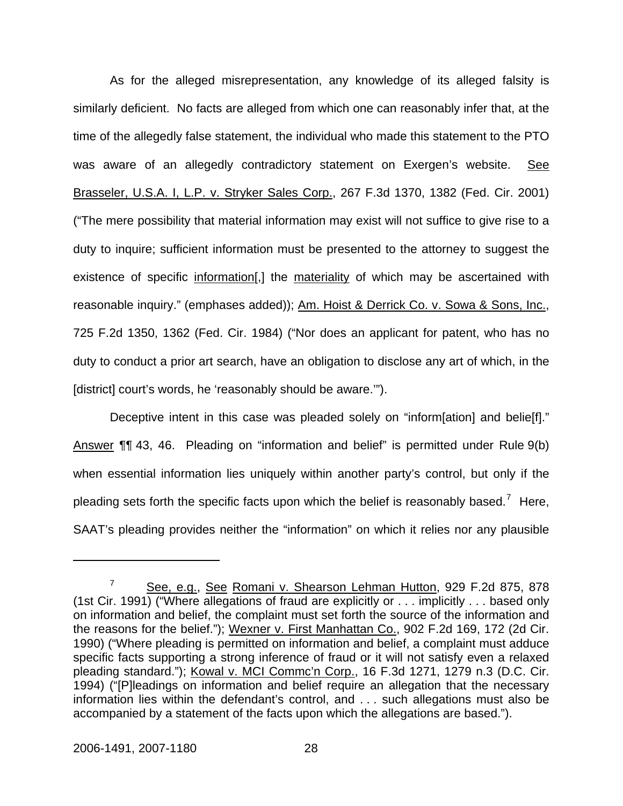As for the alleged misrepresentation, any knowledge of its alleged falsity is similarly deficient. No facts are alleged from which one can reasonably infer that, at the time of the allegedly false statement, the individual who made this statement to the PTO was aware of an allegedly contradictory statement on Exergen's website. See Brasseler, U.S.A. I, L.P. v. Stryker Sales Corp., 267 F.3d 1370, 1382 (Fed. Cir. 2001) ("The mere possibility that material information may exist will not suffice to give rise to a duty to inquire; sufficient information must be presented to the attorney to suggest the existence of specific information[,] the materiality of which may be ascertained with reasonable inquiry." (emphases added)); Am. Hoist & Derrick Co. v. Sowa & Sons, Inc., 725 F.2d 1350, 1362 (Fed. Cir. 1984) ("Nor does an applicant for patent, who has no duty to conduct a prior art search, have an obligation to disclose any art of which, in the [district] court's words, he 'reasonably should be aware.'").

Deceptive intent in this case was pleaded solely on "inform[ation] and belie[f]." Answer ¶¶ 43, 46. Pleading on "information and belief" is permitted under Rule 9(b) when essential information lies uniquely within another party's control, but only if the pleading sets forth the specific facts upon which the belief is reasonably based.<sup>[7](#page-28-0)</sup> Here, SAAT's pleading provides neither the "information" on which it relies nor any plausible

<u>.</u>

<span id="page-28-0"></span><sup>7</sup> See, e.g., See Romani v. Shearson Lehman Hutton, 929 F.2d 875, 878 (1st Cir. 1991) ("Where allegations of fraud are explicitly or . . . implicitly . . . based only on information and belief, the complaint must set forth the source of the information and the reasons for the belief."); Wexner v. First Manhattan Co., 902 F.2d 169, 172 (2d Cir. 1990) ("Where pleading is permitted on information and belief, a complaint must adduce specific facts supporting a strong inference of fraud or it will not satisfy even a relaxed pleading standard."); Kowal v. MCI Commc'n Corp., 16 F.3d 1271, 1279 n.3 (D.C. Cir. 1994) ("[P]leadings on information and belief require an allegation that the necessary information lies within the defendant's control, and . . . such allegations must also be accompanied by a statement of the facts upon which the allegations are based.").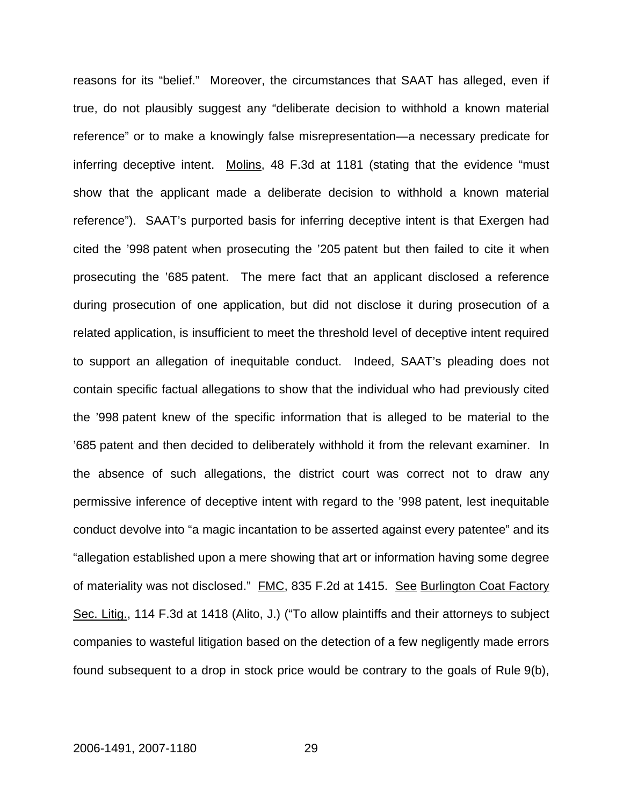reasons for its "belief." Moreover, the circumstances that SAAT has alleged, even if true, do not plausibly suggest any "deliberate decision to withhold a known material reference" or to make a knowingly false misrepresentation—a necessary predicate for inferring deceptive intent. Molins, 48 F.3d at 1181 (stating that the evidence "must show that the applicant made a deliberate decision to withhold a known material reference"). SAAT's purported basis for inferring deceptive intent is that Exergen had cited the '998 patent when prosecuting the '205 patent but then failed to cite it when prosecuting the '685 patent. The mere fact that an applicant disclosed a reference during prosecution of one application, but did not disclose it during prosecution of a related application, is insufficient to meet the threshold level of deceptive intent required to support an allegation of inequitable conduct. Indeed, SAAT's pleading does not contain specific factual allegations to show that the individual who had previously cited the '998 patent knew of the specific information that is alleged to be material to the '685 patent and then decided to deliberately withhold it from the relevant examiner. In the absence of such allegations, the district court was correct not to draw any permissive inference of deceptive intent with regard to the '998 patent, lest inequitable conduct devolve into "a magic incantation to be asserted against every patentee" and its "allegation established upon a mere showing that art or information having some degree of materiality was not disclosed." FMC, 835 F.2d at 1415. See Burlington Coat Factory Sec. Litig., 114 F.3d at 1418 (Alito, J.) ("To allow plaintiffs and their attorneys to subject companies to wasteful litigation based on the detection of a few negligently made errors found subsequent to a drop in stock price would be contrary to the goals of Rule 9(b),